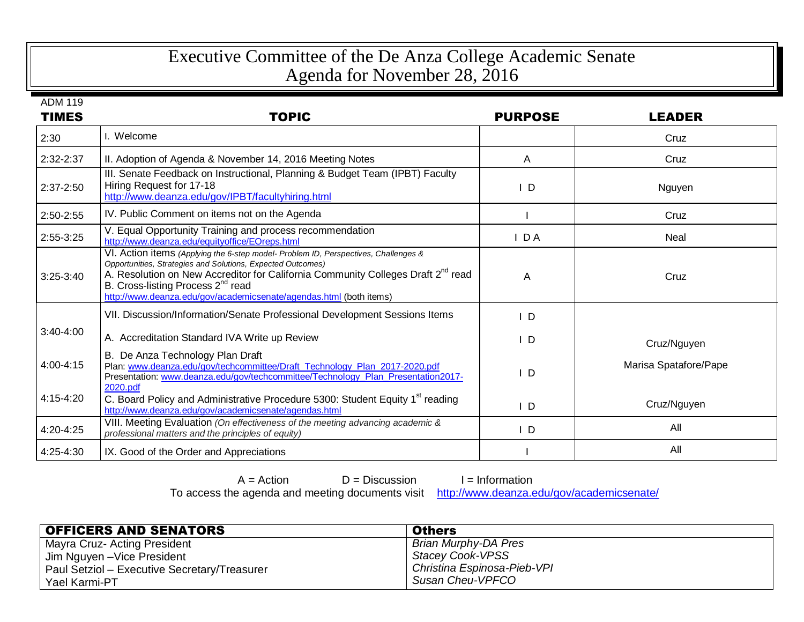## Executive Committee of the De Anza College Academic Senate Agenda for November 28, 2016

ADM 119

| <b>TIMES</b>  | <b>TOPIC</b>                                                                                                                                                                                                                                                                                                                                                              | <b>PURPOSE</b> | <b>LEADER</b>         |
|---------------|---------------------------------------------------------------------------------------------------------------------------------------------------------------------------------------------------------------------------------------------------------------------------------------------------------------------------------------------------------------------------|----------------|-----------------------|
| 2:30          | I. Welcome                                                                                                                                                                                                                                                                                                                                                                |                | Cruz                  |
| 2:32-2:37     | II. Adoption of Agenda & November 14, 2016 Meeting Notes                                                                                                                                                                                                                                                                                                                  | A              | Cruz                  |
| $2:37-2:50$   | III. Senate Feedback on Instructional, Planning & Budget Team (IPBT) Faculty<br>Hiring Request for 17-18<br>http://www.deanza.edu/gov/IPBT/facultyhiring.html                                                                                                                                                                                                             | ID.            | Nguyen                |
| 2:50-2:55     | IV. Public Comment on items not on the Agenda                                                                                                                                                                                                                                                                                                                             |                | Cruz                  |
| 2:55-3:25     | V. Equal Opportunity Training and process recommendation<br>http://www.deanza.edu/equityoffice/EOreps.html                                                                                                                                                                                                                                                                | IDA            | Neal                  |
| $3:25-3:40$   | VI. Action items (Applying the 6-step model- Problem ID, Perspectives, Challenges &<br>Opportunities, Strategies and Solutions, Expected Outcomes)<br>A. Resolution on New Accreditor for California Community Colleges Draft 2 <sup>nd</sup> read<br>B. Cross-listing Process 2 <sup>nd</sup> read<br>http://www.deanza.edu/gov/academicsenate/agendas.html (both items) | Α              | Cruz                  |
|               | VII. Discussion/Information/Senate Professional Development Sessions Items                                                                                                                                                                                                                                                                                                | - D            |                       |
| $3:40-4:00$   | A. Accreditation Standard IVA Write up Review                                                                                                                                                                                                                                                                                                                             | ID             | Cruz/Nguyen           |
| $4:00 - 4:15$ | B. De Anza Technology Plan Draft<br>Plan: www.deanza.edu/gov/techcommittee/Draft_Technology_Plan_2017-2020.pdf<br>Presentation: www.deanza.edu/gov/techcommittee/Technology_Plan_Presentation2017-<br>2020.pdf                                                                                                                                                            | - D            | Marisa Spatafore/Pape |
| $4:15-4:20$   | C. Board Policy and Administrative Procedure 5300: Student Equity 1 <sup>st</sup> reading<br>http://www.deanza.edu/gov/academicsenate/agendas.html                                                                                                                                                                                                                        | I D            | Cruz/Nguyen           |
| 4:20-4:25     | VIII. Meeting Evaluation (On effectiveness of the meeting advancing academic &<br>professional matters and the principles of equity)                                                                                                                                                                                                                                      | I D            | All                   |
| 4:25-4:30     | IX. Good of the Order and Appreciations                                                                                                                                                                                                                                                                                                                                   |                | All                   |

 $A = Action$  D = Discussion I = Information

To access the agenda and meeting documents visit <http://www.deanza.edu/gov/academicsenate/>

| <b>OFFICERS AND SENATORS</b>                 | <b>Others</b>               |
|----------------------------------------------|-----------------------------|
| Mayra Cruz- Acting President                 | Brian Murphy-DA Pres        |
| Jim Nguyen - Vice President                  | Stacey Cook-VPSS            |
| Paul Setziol - Executive Secretary/Treasurer | Christina Espinosa-Pieb-VPI |
| Yael Karmi-PT                                | Susan Cheu-VPFCO            |